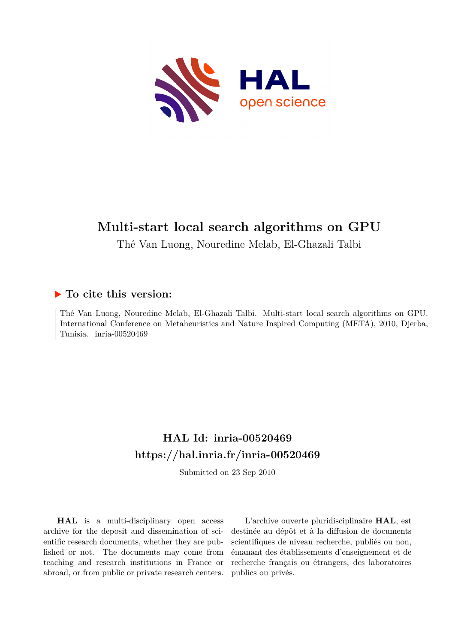

# **Multi-start local search algorithms on GPU**

Thé Van Luong, Nouredine Melab, El-Ghazali Talbi

### **To cite this version:**

Thé Van Luong, Nouredine Melab, El-Ghazali Talbi. Multi-start local search algorithms on GPU. International Conference on Metaheuristics and Nature Inspired Computing (META), 2010, Djerba, Tunisia. inria-00520469

## **HAL Id: inria-00520469 <https://hal.inria.fr/inria-00520469>**

Submitted on 23 Sep 2010

**HAL** is a multi-disciplinary open access archive for the deposit and dissemination of scientific research documents, whether they are published or not. The documents may come from teaching and research institutions in France or abroad, or from public or private research centers.

L'archive ouverte pluridisciplinaire **HAL**, est destinée au dépôt et à la diffusion de documents scientifiques de niveau recherche, publiés ou non, émanant des établissements d'enseignement et de recherche français ou étrangers, des laboratoires publics ou privés.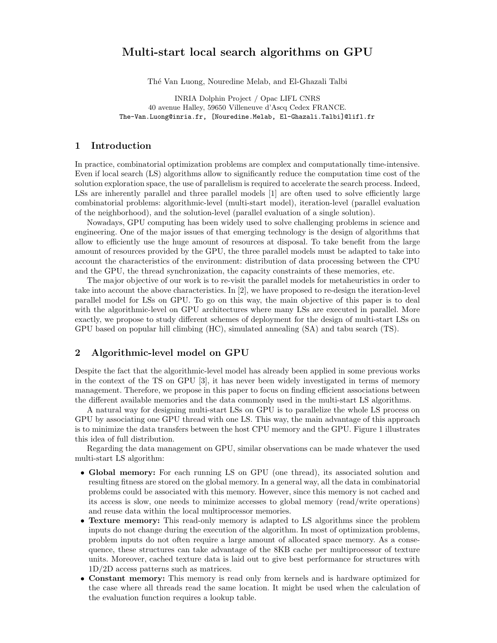### Multi-start local search algorithms on GPU

Th´e Van Luong, Nouredine Melab, and El-Ghazali Talbi

INRIA Dolphin Project / Opac LIFL CNRS 40 avenue Halley, 59650 Villeneuve d'Ascq Cedex FRANCE. The-Van.Luong@inria.fr, [Nouredine.Melab, El-Ghazali.Talbi]@lifl.fr

#### 1 Introduction

In practice, combinatorial optimization problems are complex and computationally time-intensive. Even if local search (LS) algorithms allow to significantly reduce the computation time cost of the solution exploration space, the use of parallelism is required to accelerate the search process. Indeed, LSs are inherently parallel and three parallel models [1] are often used to solve efficiently large combinatorial problems: algorithmic-level (multi-start model), iteration-level (parallel evaluation of the neighborhood), and the solution-level (parallel evaluation of a single solution).

Nowadays, GPU computing has been widely used to solve challenging problems in science and engineering. One of the major issues of that emerging technology is the design of algorithms that allow to efficiently use the huge amount of resources at disposal. To take benefit from the large amount of resources provided by the GPU, the three parallel models must be adapted to take into account the characteristics of the environment: distribution of data processing between the CPU and the GPU, the thread synchronization, the capacity constraints of these memories, etc.

The major objective of our work is to re-visit the parallel models for metaheuristics in order to take into account the above characteristics. In [2], we have proposed to re-design the iteration-level parallel model for LSs on GPU. To go on this way, the main objective of this paper is to deal with the algorithmic-level on GPU architectures where many LSs are executed in parallel. More exactly, we propose to study different schemes of deployment for the design of multi-start LSs on GPU based on popular hill climbing (HC), simulated annealing (SA) and tabu search (TS).

#### 2 Algorithmic-level model on GPU

Despite the fact that the algorithmic-level model has already been applied in some previous works in the context of the TS on GPU [3], it has never been widely investigated in terms of memory management. Therefore, we propose in this paper to focus on finding efficient associations between the different available memories and the data commonly used in the multi-start LS algorithms.

A natural way for designing multi-start LSs on GPU is to parallelize the whole LS process on GPU by associating one GPU thread with one LS. This way, the main advantage of this approach is to minimize the data transfers between the host CPU memory and the GPU. Figure 1 illustrates this idea of full distribution.

Regarding the data management on GPU, similar observations can be made whatever the used multi-start LS algorithm:

- Global memory: For each running LS on GPU (one thread), its associated solution and resulting fitness are stored on the global memory. In a general way, all the data in combinatorial problems could be associated with this memory. However, since this memory is not cached and its access is slow, one needs to minimize accesses to global memory (read/write operations) and reuse data within the local multiprocessor memories.
- **Texture memory:** This read-only memory is adapted to LS algorithms since the problem inputs do not change during the execution of the algorithm. In most of optimization problems, problem inputs do not often require a large amount of allocated space memory. As a consequence, these structures can take advantage of the 8KB cache per multiprocessor of texture units. Moreover, cached texture data is laid out to give best performance for structures with 1D/2D access patterns such as matrices.
- Constant memory: This memory is read only from kernels and is hardware optimized for the case where all threads read the same location. It might be used when the calculation of the evaluation function requires a lookup table.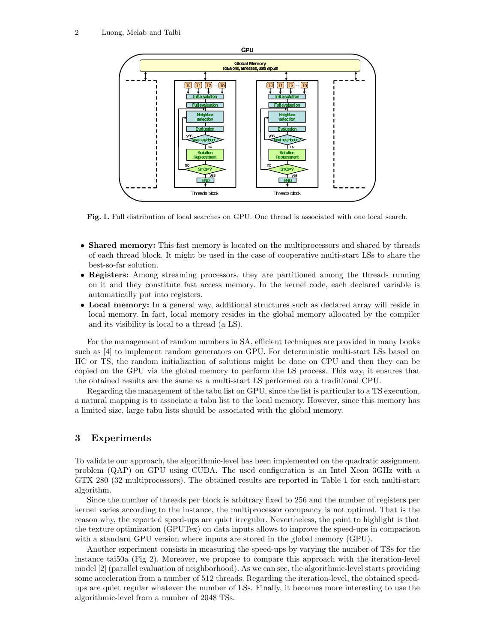

Fig. 1. Full distribution of local searches on GPU. One thread is associated with one local search.

- Shared memory: This fast memory is located on the multiprocessors and shared by threads of each thread block. It might be used in the case of cooperative multi-start LSs to share the best-so-far solution.
- Registers: Among streaming processors, they are partitioned among the threads running on it and they constitute fast access memory. In the kernel code, each declared variable is automatically put into registers.
- Local memory: In a general way, additional structures such as declared array will reside in local memory. In fact, local memory resides in the global memory allocated by the compiler and its visibility is local to a thread (a LS).

For the management of random numbers in SA, efficient techniques are provided in many books such as [4] to implement random generators on GPU. For deterministic multi-start LSs based on HC or TS, the random initialization of solutions might be done on CPU and then they can be copied on the GPU via the global memory to perform the LS process. This way, it ensures that the obtained results are the same as a multi-start LS performed on a traditional CPU.

Regarding the management of the tabu list on GPU, since the list is particular to a TS execution, a natural mapping is to associate a tabu list to the local memory. However, since this memory has a limited size, large tabu lists should be associated with the global memory.

#### 3 Experiments

To validate our approach, the algorithmic-level has been implemented on the quadratic assignment problem (QAP) on GPU using CUDA. The used configuration is an Intel Xeon 3GHz with a GTX 280 (32 multiprocessors). The obtained results are reported in Table 1 for each multi-start algorithm.

Since the number of threads per block is arbitrary fixed to 256 and the number of registers per kernel varies according to the instance, the multiprocessor occupancy is not optimal. That is the reason why, the reported speed-ups are quiet irregular. Nevertheless, the point to highlight is that the texture optimization (GPUTex) on data inputs allows to improve the speed-ups in comparison with a standard GPU version where inputs are stored in the global memory (GPU).

Another experiment consists in measuring the speed-ups by varying the number of TSs for the instance tai50a (Fig 2). Moreover, we propose to compare this approach with the iteration-level model [2] (parallel evaluation of neighborhood). As we can see, the algorithmic-level starts providing some acceleration from a number of 512 threads. Regarding the iteration-level, the obtained speedups are quiet regular whatever the number of LSs. Finally, it becomes more interesting to use the algorithmic-level from a number of 2048 TSs.